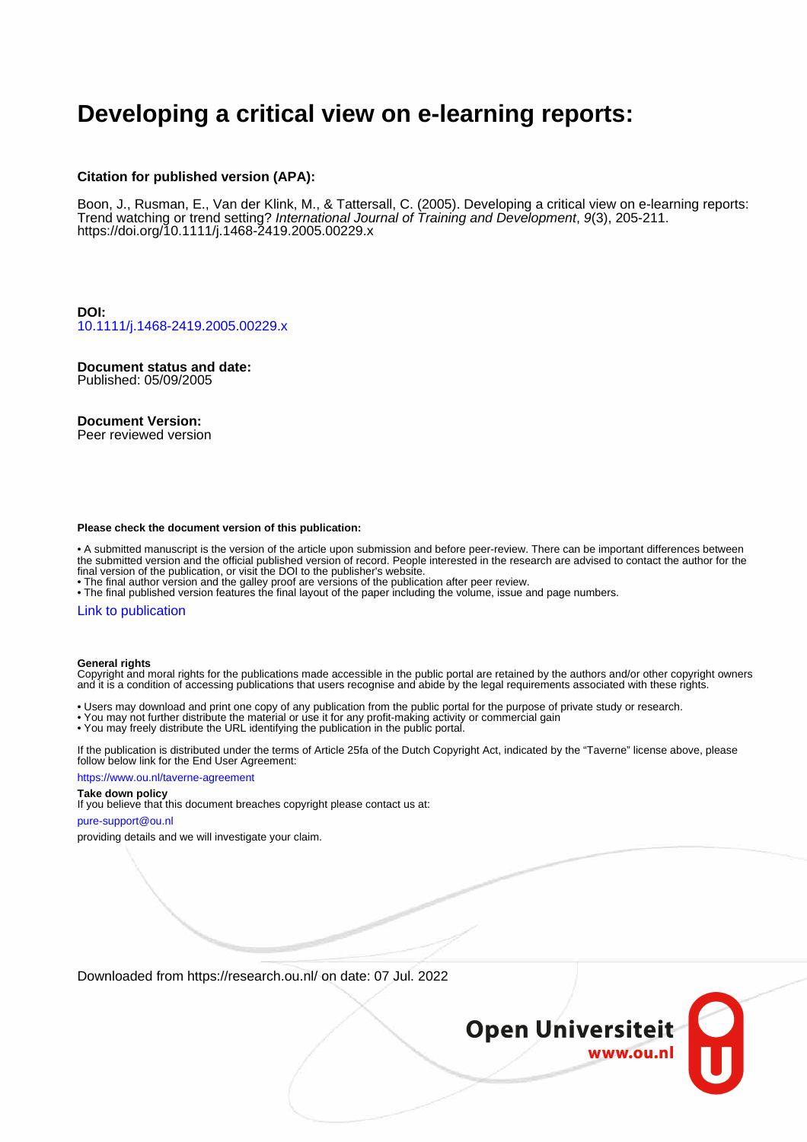# **Developing a critical view on e-learning reports:**

#### **Citation for published version (APA):**

Boon, J., Rusman, E., Van der Klink, M., & Tattersall, C. (2005). Developing a critical view on e-learning reports: Trend watching or trend setting? International Journal of Training and Development, 9(3), 205-211. <https://doi.org/10.1111/j.1468-2419.2005.00229.x>

**DOI:** [10.1111/j.1468-2419.2005.00229.x](https://doi.org/10.1111/j.1468-2419.2005.00229.x)

## **Document status and date:**

Published: 05/09/2005

#### **Document Version:**

Peer reviewed version

#### **Please check the document version of this publication:**

• A submitted manuscript is the version of the article upon submission and before peer-review. There can be important differences between the submitted version and the official published version of record. People interested in the research are advised to contact the author for the final version of the publication, or visit the DOI to the publisher's website.

• The final author version and the galley proof are versions of the publication after peer review.

• The final published version features the final layout of the paper including the volume, issue and page numbers.

#### [Link to publication](https://research.ou.nl/en/publications/26cceb30-195f-406a-be34-afb8fb1d9d0c)

#### **General rights**

Copyright and moral rights for the publications made accessible in the public portal are retained by the authors and/or other copyright owners and it is a condition of accessing publications that users recognise and abide by the legal requirements associated with these rights.

- Users may download and print one copy of any publication from the public portal for the purpose of private study or research.
- You may not further distribute the material or use it for any profit-making activity or commercial gain
- You may freely distribute the URL identifying the publication in the public portal.

If the publication is distributed under the terms of Article 25fa of the Dutch Copyright Act, indicated by the "Taverne" license above, please follow below link for the End User Agreement:

#### https://www.ou.nl/taverne-agreement

#### **Take down policy**

If you believe that this document breaches copyright please contact us at:

#### pure-support@ou.nl

providing details and we will investigate your claim.

Downloaded from https://research.ou.nl/ on date: 07 Jul. 2022

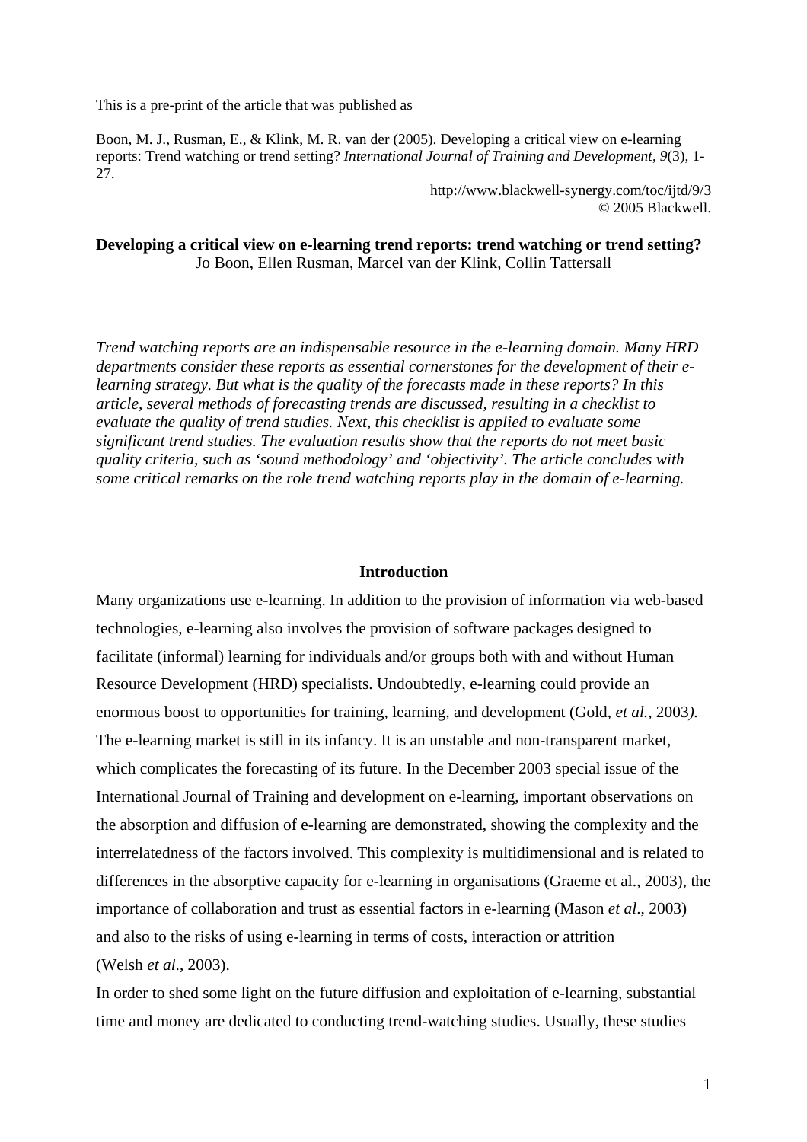This is a pre-print of the article that was published as

Boon, M. J., Rusman, E., & Klink, M. R. van der (2005). Developing a critical view on e-learning reports: Trend watching or trend setting? *International Journal of Training and Development*, *9*(3), 1- 27.

> http://www.blackwell-synergy.com/toc/ijtd/9/3 © 2005 Blackwell.

## **Developing a critical view on e-learning trend reports: trend watching or trend setting?**  Jo Boon, Ellen Rusman, Marcel van der Klink, Collin Tattersall

*Trend watching reports are an indispensable resource in the e-learning domain. Many HRD departments consider these reports as essential cornerstones for the development of their elearning strategy. But what is the quality of the forecasts made in these reports? In this article, several methods of forecasting trends are discussed, resulting in a checklist to evaluate the quality of trend studies. Next, this checklist is applied to evaluate some significant trend studies. The evaluation results show that the reports do not meet basic quality criteria, such as 'sound methodology' and 'objectivity'. The article concludes with some critical remarks on the role trend watching reports play in the domain of e-learning.* 

### **Introduction**

Many organizations use e-learning. In addition to the provision of information via web-based technologies, e-learning also involves the provision of software packages designed to facilitate (informal) learning for individuals and/or groups both with and without Human Resource Development (HRD) specialists. Undoubtedly, e-learning could provide an enormous boost to opportunities for training, learning, and development (Gold, *et al.,* 2003*).*  The e-learning market is still in its infancy. It is an unstable and non-transparent market, which complicates the forecasting of its future. In the December 2003 special issue of the International Journal of Training and development on e-learning, important observations on the absorption and diffusion of e-learning are demonstrated, showing the complexity and the interrelatedness of the factors involved. This complexity is multidimensional and is related to differences in the absorptive capacity for e-learning in organisations (Graeme et al., 2003), the importance of collaboration and trust as essential factors in e-learning (Mason *et al*., 2003) and also to the risks of using e-learning in terms of costs, interaction or attrition (Welsh *et al*., 2003).

In order to shed some light on the future diffusion and exploitation of e-learning, substantial time and money are dedicated to conducting trend-watching studies. Usually, these studies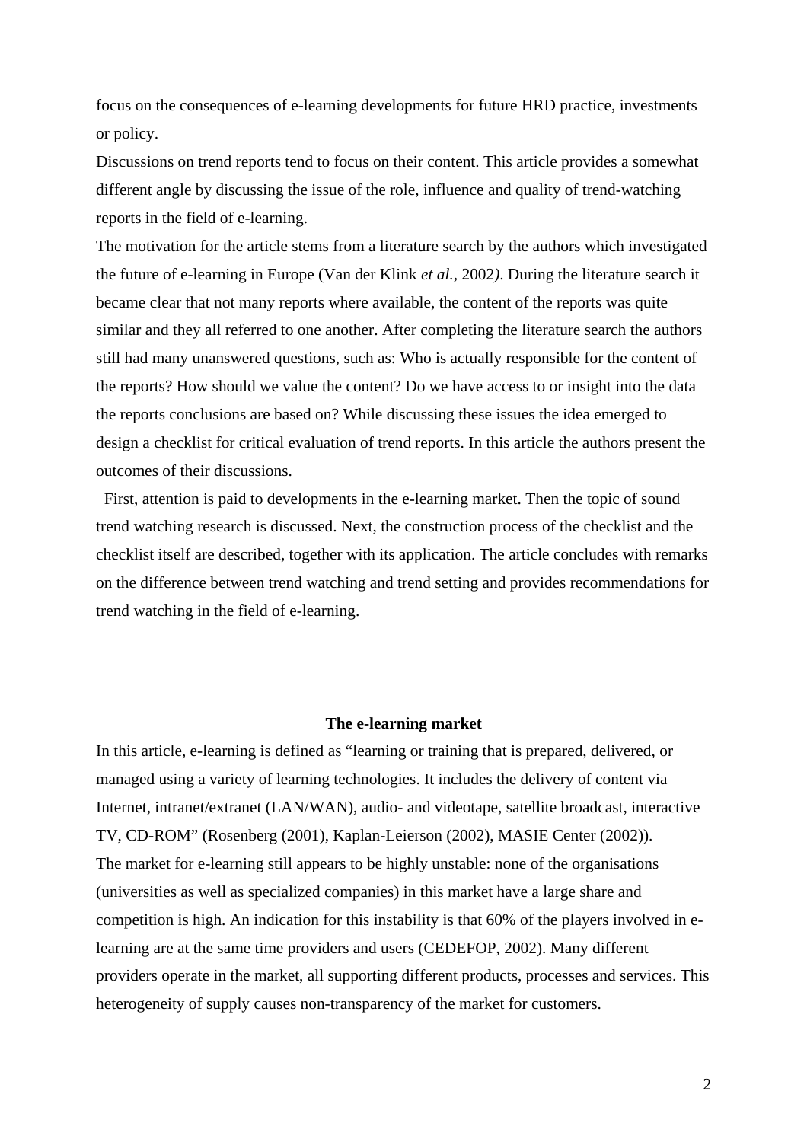focus on the consequences of e-learning developments for future HRD practice, investments or policy.

Discussions on trend reports tend to focus on their content. This article provides a somewhat different angle by discussing the issue of the role, influence and quality of trend-watching reports in the field of e-learning.

The motivation for the article stems from a literature search by the authors which investigated the future of e-learning in Europe (Van der Klink *et al.,* 2002*)*. During the literature search it became clear that not many reports where available, the content of the reports was quite similar and they all referred to one another. After completing the literature search the authors still had many unanswered questions, such as: Who is actually responsible for the content of the reports? How should we value the content? Do we have access to or insight into the data the reports conclusions are based on? While discussing these issues the idea emerged to design a checklist for critical evaluation of trend reports. In this article the authors present the outcomes of their discussions.

 First, attention is paid to developments in the e-learning market. Then the topic of sound trend watching research is discussed. Next, the construction process of the checklist and the checklist itself are described, together with its application. The article concludes with remarks on the difference between trend watching and trend setting and provides recommendations for trend watching in the field of e-learning.

#### **The e-learning market**

In this article, e-learning is defined as "learning or training that is prepared, delivered, or managed using a variety of learning technologies. It includes the delivery of content via Internet, intranet/extranet (LAN/WAN), audio- and videotape, satellite broadcast, interactive TV, CD-ROM" (Rosenberg (2001), Kaplan-Leierson (2002), MASIE Center (2002)). The market for e-learning still appears to be highly unstable: none of the organisations (universities as well as specialized companies) in this market have a large share and competition is high. An indication for this instability is that 60% of the players involved in elearning are at the same time providers and users (CEDEFOP, 2002). Many different providers operate in the market, all supporting different products, processes and services. This heterogeneity of supply causes non-transparency of the market for customers.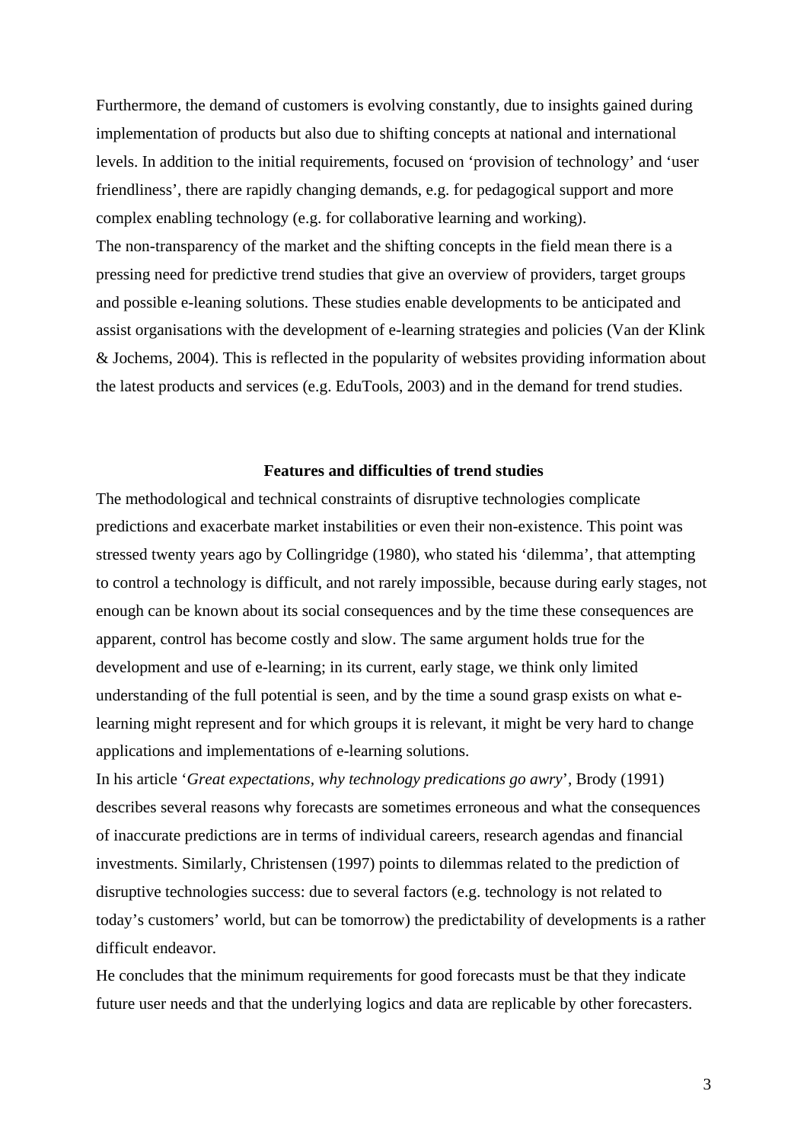Furthermore, the demand of customers is evolving constantly, due to insights gained during implementation of products but also due to shifting concepts at national and international levels. In addition to the initial requirements, focused on 'provision of technology' and 'user friendliness', there are rapidly changing demands, e.g. for pedagogical support and more complex enabling technology (e.g. for collaborative learning and working). The non-transparency of the market and the shifting concepts in the field mean there is a pressing need for predictive trend studies that give an overview of providers, target groups and possible e-leaning solutions. These studies enable developments to be anticipated and assist organisations with the development of e-learning strategies and policies (Van der Klink & Jochems, 2004). This is reflected in the popularity of websites providing information about the latest products and services (e.g. EduTools, 2003) and in the demand for trend studies.

## **Features and difficulties of trend studies**

The methodological and technical constraints of disruptive technologies complicate predictions and exacerbate market instabilities or even their non-existence. This point was stressed twenty years ago by Collingridge (1980), who stated his 'dilemma', that attempting to control a technology is difficult, and not rarely impossible, because during early stages, not enough can be known about its social consequences and by the time these consequences are apparent, control has become costly and slow. The same argument holds true for the development and use of e-learning; in its current, early stage, we think only limited understanding of the full potential is seen, and by the time a sound grasp exists on what elearning might represent and for which groups it is relevant, it might be very hard to change applications and implementations of e-learning solutions.

In his article '*Great expectations, why technology predications go awry*', Brody (1991) describes several reasons why forecasts are sometimes erroneous and what the consequences of inaccurate predictions are in terms of individual careers, research agendas and financial investments. Similarly, Christensen (1997) points to dilemmas related to the prediction of disruptive technologies success: due to several factors (e.g. technology is not related to today's customers' world, but can be tomorrow) the predictability of developments is a rather difficult endeavor.

He concludes that the minimum requirements for good forecasts must be that they indicate future user needs and that the underlying logics and data are replicable by other forecasters.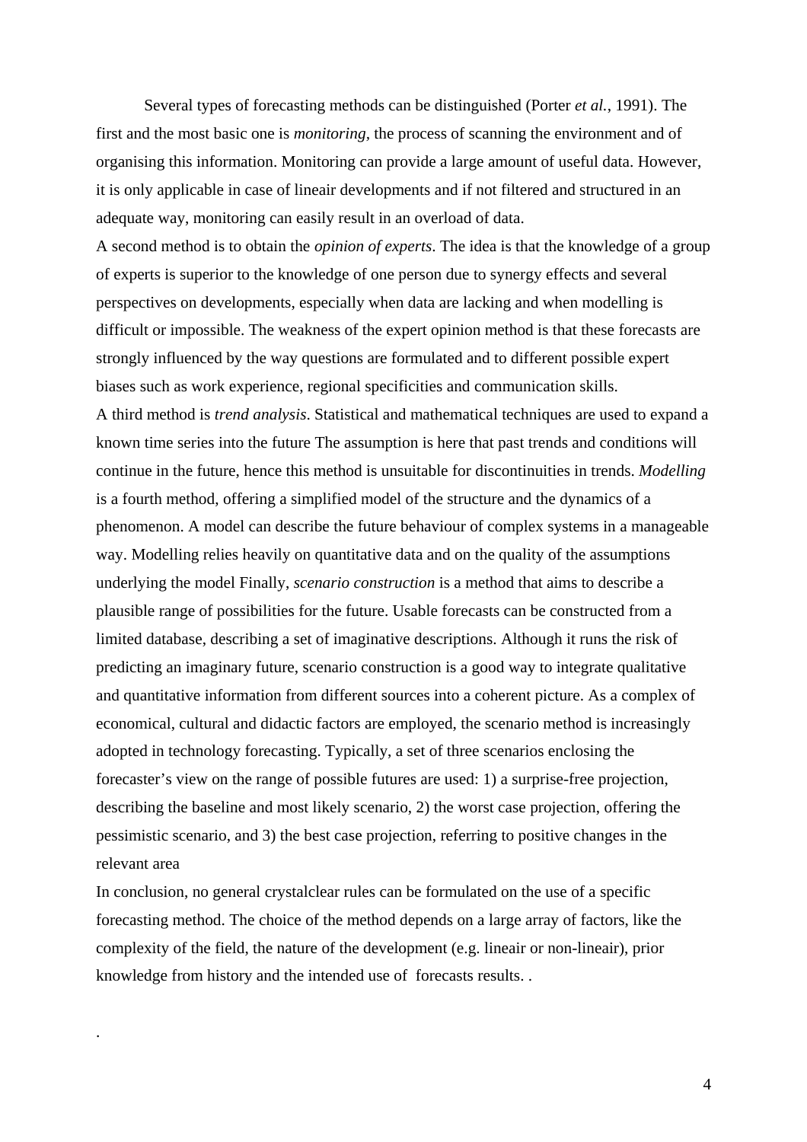Several types of forecasting methods can be distinguished (Porter *et al.*, 1991). The first and the most basic one is *monitoring,* the process of scanning the environment and of organising this information. Monitoring can provide a large amount of useful data. However, it is only applicable in case of lineair developments and if not filtered and structured in an adequate way, monitoring can easily result in an overload of data.

A second method is to obtain the *opinion of experts*. The idea is that the knowledge of a group of experts is superior to the knowledge of one person due to synergy effects and several perspectives on developments, especially when data are lacking and when modelling is difficult or impossible. The weakness of the expert opinion method is that these forecasts are strongly influenced by the way questions are formulated and to different possible expert biases such as work experience, regional specificities and communication skills. A third method is *trend analysis*. Statistical and mathematical techniques are used to expand a known time series into the future The assumption is here that past trends and conditions will continue in the future, hence this method is unsuitable for discontinuities in trends. *Modelling*  is a fourth method, offering a simplified model of the structure and the dynamics of a phenomenon. A model can describe the future behaviour of complex systems in a manageable way. Modelling relies heavily on quantitative data and on the quality of the assumptions underlying the model Finally, *scenario construction* is a method that aims to describe a plausible range of possibilities for the future. Usable forecasts can be constructed from a limited database, describing a set of imaginative descriptions. Although it runs the risk of predicting an imaginary future, scenario construction is a good way to integrate qualitative and quantitative information from different sources into a coherent picture. As a complex of economical, cultural and didactic factors are employed, the scenario method is increasingly adopted in technology forecasting. Typically, a set of three scenarios enclosing the forecaster's view on the range of possible futures are used: 1) a surprise-free projection, describing the baseline and most likely scenario, 2) the worst case projection, offering the pessimistic scenario, and 3) the best case projection, referring to positive changes in the relevant area

In conclusion, no general crystalclear rules can be formulated on the use of a specific forecasting method. The choice of the method depends on a large array of factors, like the complexity of the field, the nature of the development (e.g. lineair or non-lineair), prior knowledge from history and the intended use of forecasts results. .

.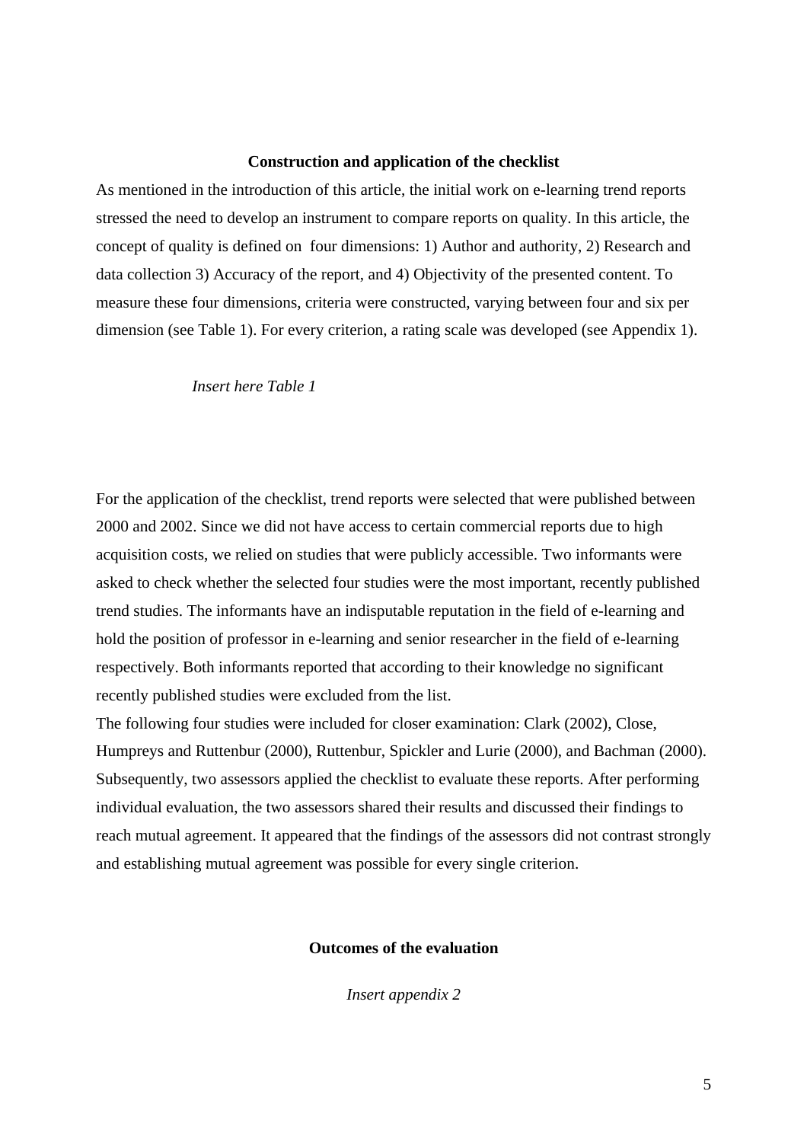### **Construction and application of the checklist**

As mentioned in the introduction of this article, the initial work on e-learning trend reports stressed the need to develop an instrument to compare reports on quality. In this article, the concept of quality is defined on four dimensions: 1) Author and authority, 2) Research and data collection 3) Accuracy of the report, and 4) Objectivity of the presented content. To measure these four dimensions, criteria were constructed, varying between four and six per dimension (see Table 1). For every criterion, a rating scale was developed (see Appendix 1).

*Insert here Table 1*

For the application of the checklist, trend reports were selected that were published between 2000 and 2002. Since we did not have access to certain commercial reports due to high acquisition costs, we relied on studies that were publicly accessible. Two informants were asked to check whether the selected four studies were the most important, recently published trend studies. The informants have an indisputable reputation in the field of e-learning and hold the position of professor in e-learning and senior researcher in the field of e-learning respectively. Both informants reported that according to their knowledge no significant recently published studies were excluded from the list.

The following four studies were included for closer examination: Clark (2002), Close, Humpreys and Ruttenbur (2000), Ruttenbur, Spickler and Lurie (2000), and Bachman (2000). Subsequently, two assessors applied the checklist to evaluate these reports. After performing individual evaluation, the two assessors shared their results and discussed their findings to reach mutual agreement. It appeared that the findings of the assessors did not contrast strongly and establishing mutual agreement was possible for every single criterion.

## **Outcomes of the evaluation**

*Insert appendix 2*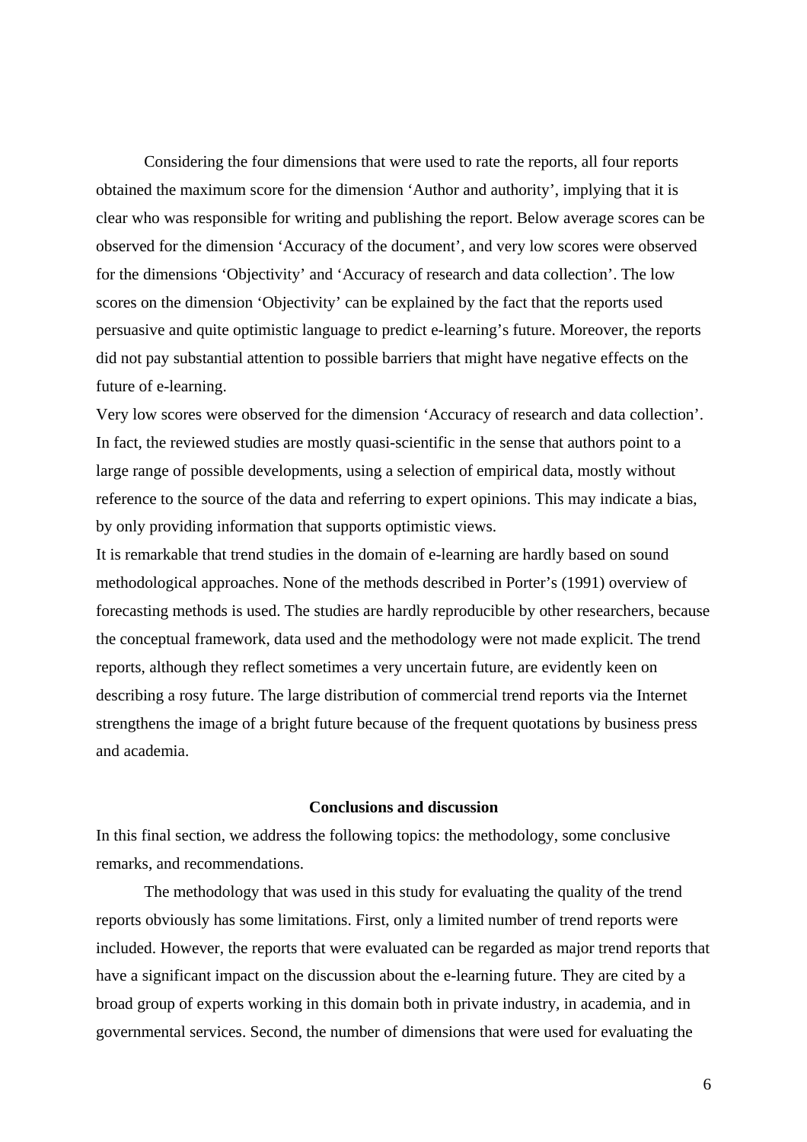Considering the four dimensions that were used to rate the reports, all four reports obtained the maximum score for the dimension 'Author and authority', implying that it is clear who was responsible for writing and publishing the report. Below average scores can be observed for the dimension 'Accuracy of the document', and very low scores were observed for the dimensions 'Objectivity' and 'Accuracy of research and data collection'. The low scores on the dimension 'Objectivity' can be explained by the fact that the reports used persuasive and quite optimistic language to predict e-learning's future. Moreover, the reports did not pay substantial attention to possible barriers that might have negative effects on the future of e-learning.

Very low scores were observed for the dimension 'Accuracy of research and data collection'. In fact, the reviewed studies are mostly quasi-scientific in the sense that authors point to a large range of possible developments, using a selection of empirical data, mostly without reference to the source of the data and referring to expert opinions. This may indicate a bias, by only providing information that supports optimistic views.

It is remarkable that trend studies in the domain of e-learning are hardly based on sound methodological approaches. None of the methods described in Porter's (1991) overview of forecasting methods is used. The studies are hardly reproducible by other researchers, because the conceptual framework, data used and the methodology were not made explicit. The trend reports, although they reflect sometimes a very uncertain future, are evidently keen on describing a rosy future. The large distribution of commercial trend reports via the Internet strengthens the image of a bright future because of the frequent quotations by business press and academia.

## **Conclusions and discussion**

In this final section, we address the following topics: the methodology, some conclusive remarks, and recommendations.

The methodology that was used in this study for evaluating the quality of the trend reports obviously has some limitations. First, only a limited number of trend reports were included. However, the reports that were evaluated can be regarded as major trend reports that have a significant impact on the discussion about the e-learning future. They are cited by a broad group of experts working in this domain both in private industry, in academia, and in governmental services. Second, the number of dimensions that were used for evaluating the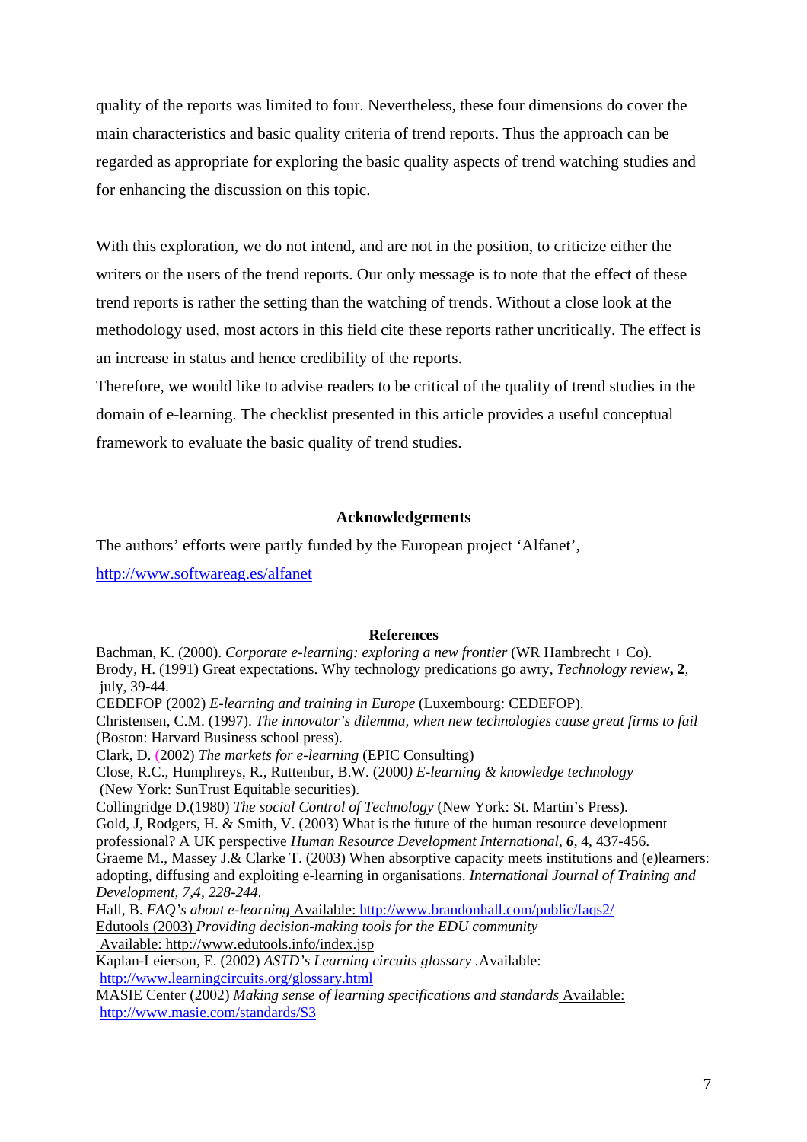quality of the reports was limited to four. Nevertheless, these four dimensions do cover the main characteristics and basic quality criteria of trend reports. Thus the approach can be regarded as appropriate for exploring the basic quality aspects of trend watching studies and for enhancing the discussion on this topic.

With this exploration, we do not intend, and are not in the position, to criticize either the writers or the users of the trend reports. Our only message is to note that the effect of these trend reports is rather the setting than the watching of trends. Without a close look at the methodology used, most actors in this field cite these reports rather uncritically. The effect is an increase in status and hence credibility of the reports.

Therefore, we would like to advise readers to be critical of the quality of trend studies in the domain of e-learning. The checklist presented in this article provides a useful conceptual framework to evaluate the basic quality of trend studies.

## **Acknowledgements**

The authors' efforts were partly funded by the European project 'Alfanet',

<http://www.softwareag.es/alfanet>

### **References**

Bachman, K. (2000). *Corporate e-learning: exploring a new frontier* (WR Hambrecht + Co). Brody, H. (1991) Great expectations. Why technology predications go awry, *Technology review***, 2***,*  july, 39-44. CEDEFOP (2002) *E-learning and training in Europe* (Luxembourg: CEDEFOP). Christensen, C.M. (1997). *The innovator's dilemma, when new technologies cause great firms to fail*  (Boston: Harvard Business school press). Clark, D. (2002) *The markets for e-learning* (EPIC Consulting) Close, R.C., Humphreys, R., Ruttenbur, B.W. (2000*) E-learning & knowledge technology* (New York: SunTrust Equitable securities). Collingridge D.(1980) *The social Control of Technology* (New York: St. Martin's Press). Gold, J, Rodgers, H. & Smith, V. (2003) What is the future of the human resource development professional? A UK perspective *Human Resource Development International, 6*, 4, 437-456. Graeme M., Massey J.& Clarke T. (2003) When absorptive capacity meets institutions and (e)learners: adopting, diffusing and exploiting e-learning in organisations. *International Journal of Training and Development, 7,4, 228-244.*  Hall, B. *FAQ's about e-learning* Available:<http://www.brandonhall.com/public/faqs2/> Edutools (2003) *Providing decision-making tools for the EDU community* Available: http://www.edutools.info/index.jsp Kaplan-Leierson, E. (2002) *ASTD's Learning circuits glossary .*Available: <http://www.learningcircuits.org/glossary.html> MASIE Center (2002) *Making sense of learning specifications and standards* Available: <http://www.masie.com/standards/S3>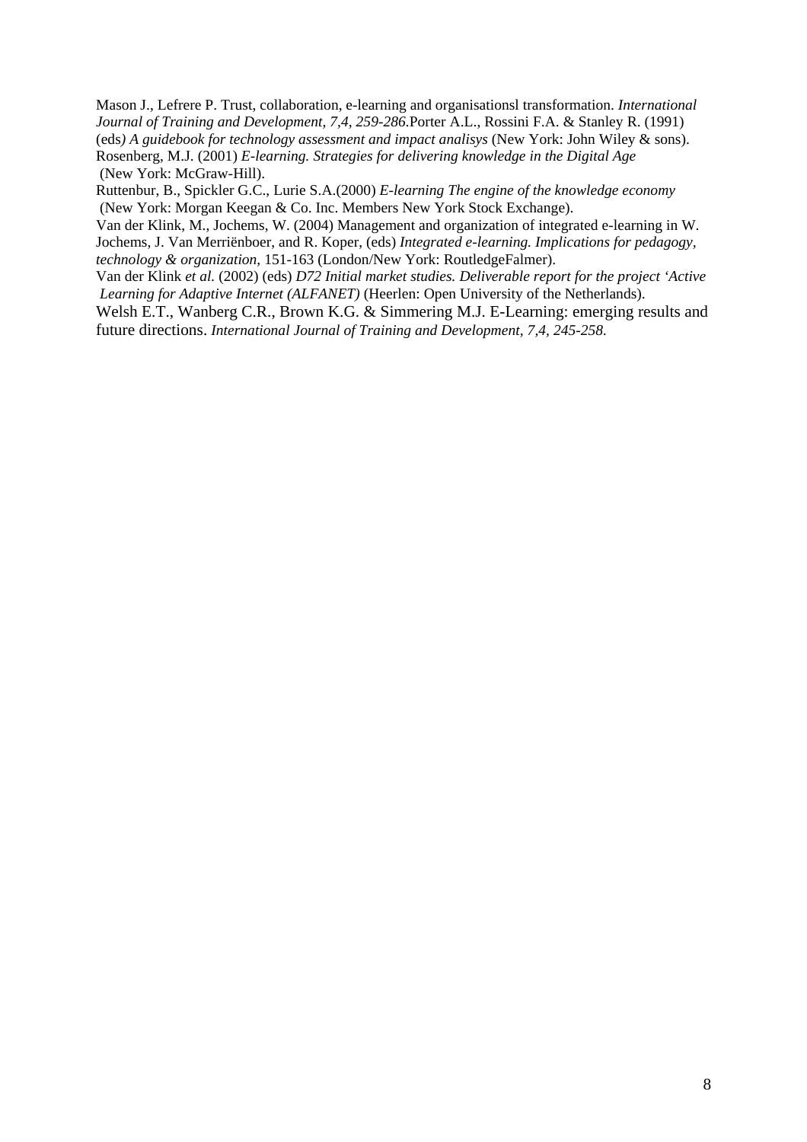Mason J., Lefrere P. Trust, collaboration, e-learning and organisationsl transformation. *International Journal of Training and Development, 7,4, 259-286.*Porter A.L., Rossini F.A. & Stanley R. (1991) (eds*) A guidebook for technology assessment and impact analisys* (New York: John Wiley & sons). Rosenberg, M.J. (2001) *E-learning. Strategies for delivering knowledge in the Digital Age*  (New York: McGraw-Hill).

Ruttenbur, B., Spickler G.C., Lurie S.A.(2000) *E-learning The engine of the knowledge economy* (New York: Morgan Keegan & Co. Inc. Members New York Stock Exchange).

Van der Klink, M., Jochems, W. (2004) Management and organization of integrated e-learning in W. Jochems, J. Van Merriënboer, and R. Koper, (eds) *Integrated e-learning. Implications for pedagogy, technology & organization,* 151-163 (London/New York: RoutledgeFalmer).

Van der Klink *et al.* (2002) (eds) *D72 Initial market studies. Deliverable report for the project 'Active Learning for Adaptive Internet (ALFANET)* (Heerlen: Open University of the Netherlands).

Welsh E.T., Wanberg C.R., Brown K.G. & Simmering M.J. E-Learning: emerging results and future directions. *International Journal of Training and Development, 7,4, 245-258.*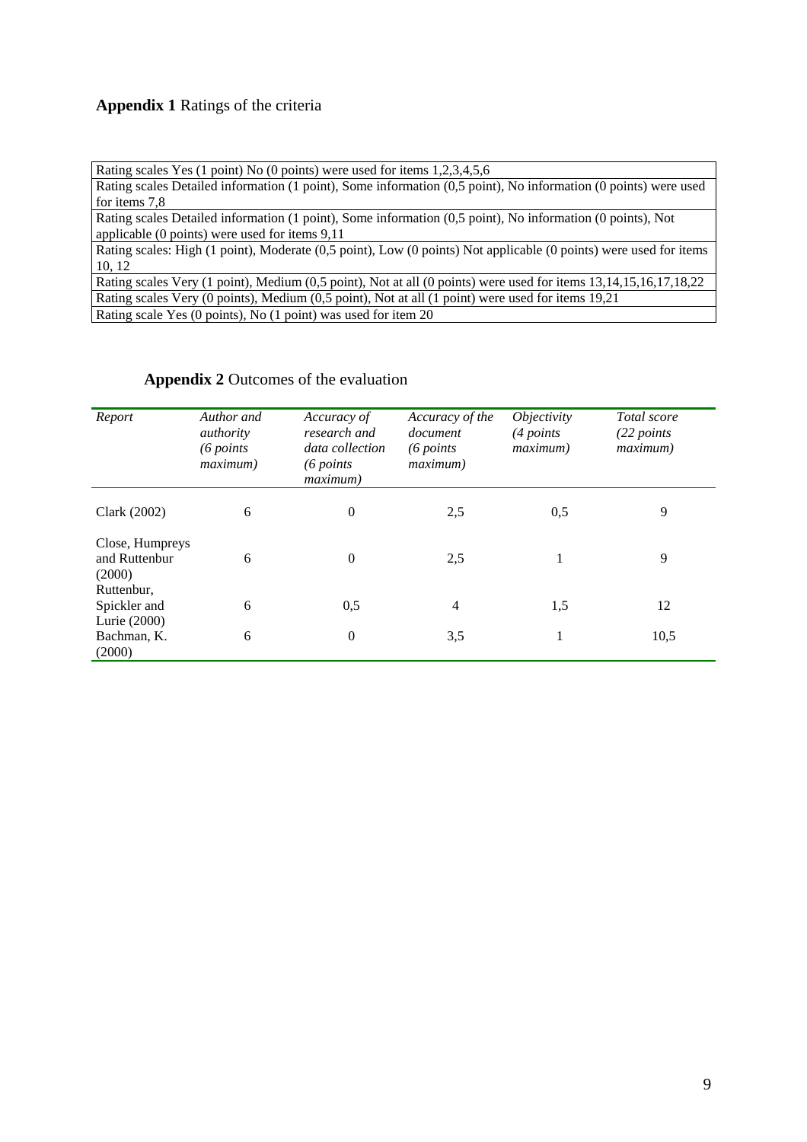## **Appendix 1** Ratings of the criteria

Rating scales Yes (1 point) No (0 points) were used for items 1,2,3,4,5,6 Rating scales Detailed information (1 point), Some information (0,5 point), No information (0 points) were used for items 7,8

Rating scales Detailed information (1 point), Some information (0,5 point), No information (0 points), Not applicable (0 points) were used for items 9,11

Rating scales: High (1 point), Moderate (0,5 point), Low (0 points) Not applicable (0 points) were used for items 10, 12

Rating scales Very (1 point), Medium (0,5 point), Not at all (0 points) were used for items 13,14,15,16,17,18,22 Rating scales Very (0 points), Medium (0,5 point), Not at all (1 point) were used for items 19,21 Rating scale Yes (0 points), No (1 point) was used for item 20

| Report                                     | Author and<br>authority<br>$(6$ points<br>maximum) | Accuracy of<br>research and<br>data collection<br>$(6 \text{ points})$<br>maximum) | Accuracy of the<br>document<br>$(6 \text{ points})$<br><i>maximum</i> ) | <i>Objectivity</i><br>(4 points<br>maximum) | Total score<br>(22 points<br>maximum) |
|--------------------------------------------|----------------------------------------------------|------------------------------------------------------------------------------------|-------------------------------------------------------------------------|---------------------------------------------|---------------------------------------|
| Clark (2002)                               | 6                                                  | $\overline{0}$                                                                     | 2,5                                                                     | 0,5                                         | 9                                     |
| Close, Humpreys<br>and Ruttenbur<br>(2000) | 6                                                  | $\overline{0}$                                                                     | 2,5                                                                     |                                             | 9                                     |
| Ruttenbur,<br>Spickler and<br>Lurie (2000) | 6                                                  | 0,5                                                                                | 4                                                                       | 1,5                                         | 12                                    |
| Bachman, K.<br>(2000)                      | 6                                                  | $\overline{0}$                                                                     | 3,5                                                                     |                                             | 10,5                                  |

## **Appendix 2** Outcomes of the evaluation